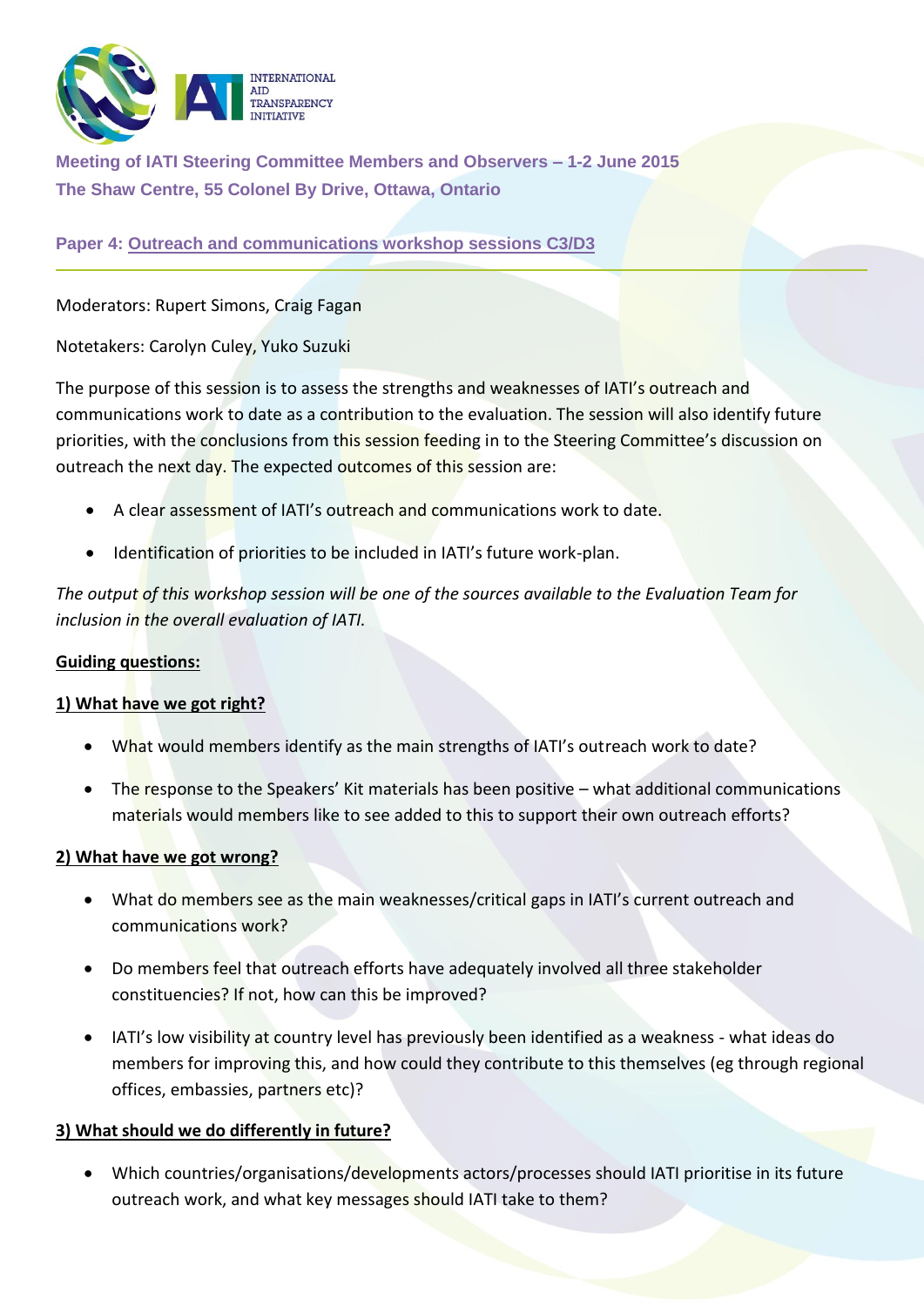

**Meeting of IATI Steering Committee Members and Observers – 1-2 June 2015 The Shaw Centre, 55 Colonel By Drive, Ottawa, Ontario**

**Paper 4: Outreach and communications workshop sessions C3/D3**

Moderators: Rupert Simons, Craig Fagan

Notetakers: Carolyn Culey, Yuko Suzuki

The purpose of this session is to assess the strengths and weaknesses of IATI's outreach and communications work to date as a contribution to the evaluation. The session will also identify future priorities, with the conclusions from this session feeding in to the Steering Committee's discussion on outreach the next day. The expected outcomes of this session are:

- A clear assessment of IATI's outreach and communications work to date.
- Identification of priorities to be included in IATI's future work-plan.

*The output of this workshop session will be one of the sources available to the Evaluation Team for inclusion in the overall evaluation of IATI.* 

## **Guiding questions:**

## **1) What have we got right?**

- What would members identify as the main strengths of IATI's outreach work to date?
- The response to the Speakers' Kit materials has been positive what additional communications materials would members like to see added to this to support their own outreach efforts?

## **2) What have we got wrong?**

- What do members see as the main weaknesses/critical gaps in IATI's current outreach and communications work?
- Do members feel that outreach efforts have adequately involved all three stakeholder constituencies? If not, how can this be improved?
- IATI's low visibility at country level has previously been identified as a weakness what ideas do members for improving this, and how could they contribute to this themselves (eg through regional offices, embassies, partners etc)?

## **3) What should we do differently in future?**

 Which countries/organisations/developments actors/processes should IATI prioritise in its future outreach work, and what key messages should IATI take to them?